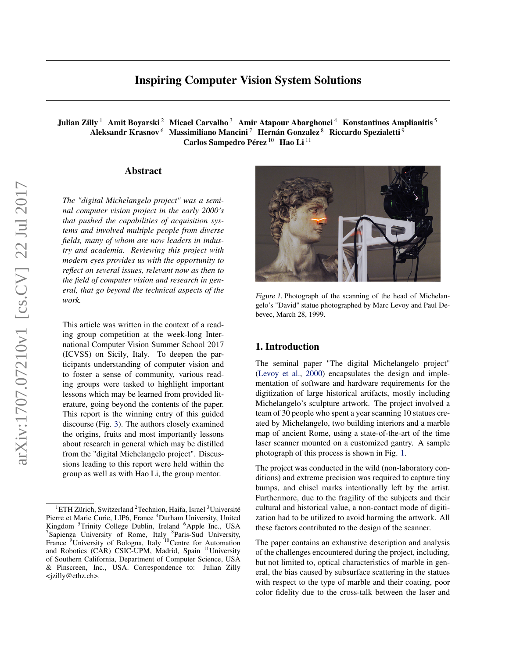# Inspiring Computer Vision System Solutions

Julian Zilly <sup>1</sup> Amit Boyarski <sup>2</sup> Micael Carvalho <sup>3</sup> Amir Atapour Abarghouei <sup>4</sup> Konstantinos Amplianitis <sup>5</sup> Aleksandr Krasnov<sup>6</sup> Massimiliano Mancini<sup>7</sup> Hernán Gonzalez<sup>8</sup> Riccardo Spezialetti<sup>9</sup> Carlos Sampedro Pérez<sup>10</sup> Hao Li<sup>11</sup>

#### Abstract

*The "digital Michelangelo project" was a seminal computer vision project in the early 2000's that pushed the capabilities of acquisition systems and involved multiple people from diverse fields, many of whom are now leaders in industry and academia. Reviewing this project with modern eyes provides us with the opportunity to reflect on several issues, relevant now as then to the field of computer vision and research in general, that go beyond the technical aspects of the work.*

This article was written in the context of a reading group competition at the week-long International Computer Vision Summer School 2017 (ICVSS) on Sicily, Italy. To deepen the participants understanding of computer vision and to foster a sense of community, various reading groups were tasked to highlight important lessons which may be learned from provided literature, going beyond the contents of the paper. This report is the winning entry of this guided discourse (Fig. [3\)](#page-3-0). The authors closely examined the origins, fruits and most importantly lessons about research in general which may be distilled from the "digital Michelangelo project". Discussions leading to this report were held within the group as well as with Hao Li, the group mentor.



Figure 1. Photograph of the scanning of the head of Michelangelo's "David" statue photographed by Marc Levoy and Paul Debevec, March 28, 1999.

### 1. Introduction

The seminal paper "The digital Michelangelo project" [\(Levoy et al.,](#page-4-0) [2000\)](#page-4-0) encapsulates the design and implementation of software and hardware requirements for the digitization of large historical artifacts, mostly including Michelangelo's sculpture artwork. The project involved a team of 30 people who spent a year scanning 10 statues created by Michelangelo, two building interiors and a marble map of ancient Rome, using a state-of-the-art of the time laser scanner mounted on a customized gantry. A sample photograph of this process is shown in Fig. 1.

The project was conducted in the wild (non-laboratory conditions) and extreme precision was required to capture tiny bumps, and chisel marks intentionally left by the artist. Furthermore, due to the fragility of the subjects and their cultural and historical value, a non-contact mode of digitization had to be utilized to avoid harming the artwork. All these factors contributed to the design of the scanner.

The paper contains an exhaustive description and analysis of the challenges encountered during the project, including, but not limited to, optical characteristics of marble in general, the bias caused by subsurface scattering in the statues with respect to the type of marble and their coating, poor color fidelity due to the cross-talk between the laser and

 $1$ ETH Zürich, Switzerland  $2$ Technion, Haifa, Israel  $3$ Université Pierre et Marie Curie, LIP6, France <sup>4</sup>Durham University, United Kingdom <sup>5</sup>Trinity College Dublin, Ireland <sup>6</sup>Apple Inc., USA <sup>7</sup>Sapienza University of Rome, Italy <sup>8</sup>Paris-Sud University, France <sup>9</sup>University of Bologna, Italy <sup>10</sup>Centre for Automation and Robotics (CAR) CSIC-UPM, Madrid, Spain <sup>11</sup>University of Southern California, Department of Computer Science, USA & Pinscreen, Inc., USA. Correspondence to: Julian Zilly <jzilly@ethz.ch>.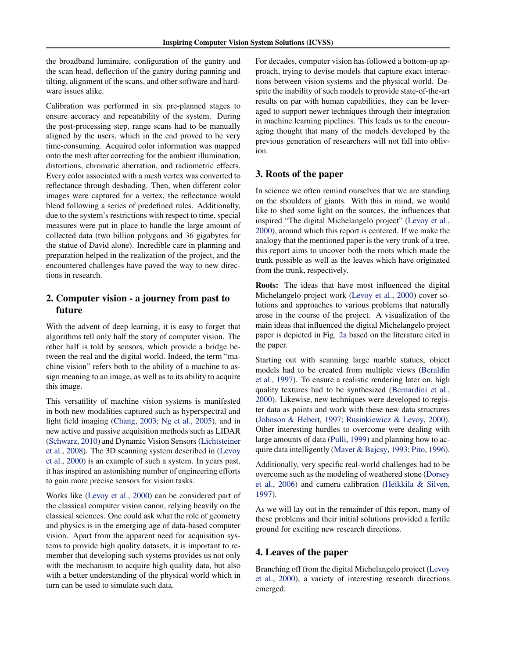the broadband luminaire, configuration of the gantry and the scan head, deflection of the gantry during panning and tilting, alignment of the scans, and other software and hardware issues alike.

Calibration was performed in six pre-planned stages to ensure accuracy and repeatability of the system. During the post-processing step, range scans had to be manually aligned by the users, which in the end proved to be very time-consuming. Acquired color information was mapped onto the mesh after correcting for the ambient illumination, distortions, chromatic aberration, and radiometric effects. Every color associated with a mesh vertex was converted to reflectance through deshading. Then, when different color images were captured for a vertex, the reflectance would blend following a series of predefined rules. Additionally, due to the system's restrictions with respect to time, special measures were put in place to handle the large amount of collected data (two billion polygons and 36 gigabytes for the statue of David alone). Incredible care in planning and preparation helped in the realization of the project, and the encountered challenges have paved the way to new directions in research.

## 2. Computer vision - a journey from past to future

With the advent of deep learning, it is easy to forget that algorithms tell only half the story of computer vision. The other half is told by sensors, which provide a bridge between the real and the digital world. Indeed, the term "machine vision" refers both to the ability of a machine to assign meaning to an image, as well as to its ability to acquire this image.

This versatility of machine vision systems is manifested in both new modalities captured such as hyperspectral and light field imaging [\(Chang,](#page-3-0) [2003;](#page-3-0) [Ng et al.,](#page-4-0) [2005\)](#page-4-0), and in new active and passive acquisition methods such as LIDAR [\(Schwarz,](#page-4-0) [2010\)](#page-4-0) and Dynamic Vision Sensors [\(Lichtsteiner](#page-4-0) [et al.,](#page-4-0) [2008\)](#page-4-0). The 3D scanning system described in [\(Levoy](#page-4-0) [et al.,](#page-4-0) [2000\)](#page-4-0) is an example of such a system. In years past, it has inspired an astonishing number of engineering efforts to gain more precise sensors for vision tasks.

Works like [\(Levoy et al.,](#page-4-0) [2000\)](#page-4-0) can be considered part of the classical computer vision canon, relying heavily on the classical sciences. One could ask what the role of geometry and physics is in the emerging age of data-based computer vision. Apart from the apparent need for acquisition systems to provide high quality datasets, it is important to remember that developing such systems provides us not only with the mechanism to acquire high quality data, but also with a better understanding of the physical world which in turn can be used to simulate such data.

For decades, computer vision has followed a bottom-up approach, trying to devise models that capture exact interactions between vision systems and the physical world. Despite the inability of such models to provide state-of-the-art results on par with human capabilities, they can be leveraged to support newer techniques through their integration in machine learning pipelines. This leads us to the encouraging thought that many of the models developed by the previous generation of researchers will not fall into oblivion.

### 3. Roots of the paper

In science we often remind ourselves that we are standing on the shoulders of giants. With this in mind, we would like to shed some light on the sources, the influences that inspired "The digital Michelangelo project" [\(Levoy et al.,](#page-4-0) [2000\)](#page-4-0), around which this report is centered. If we make the analogy that the mentioned paper is the very trunk of a tree, this report aims to uncover both the roots which made the trunk possible as well as the leaves which have originated from the trunk, respectively.

Roots: The ideas that have most influenced the digital Michelangelo project work [\(Levoy et al.,](#page-4-0) [2000\)](#page-4-0) cover solutions and approaches to various problems that naturally arose in the course of the project. A visualization of the main ideas that influenced the digital Michelangelo project paper is depicted in Fig. [2a](#page-2-0) based on the literature cited in the paper.

Starting out with scanning large marble statues, object models had to be created from multiple views [\(Beraldin](#page-3-0) [et al.,](#page-3-0) [1997\)](#page-3-0). To ensure a realistic rendering later on, high quality textures had to be synthesized [\(Bernardini et al.,](#page-3-0) [2000\)](#page-3-0). Likewise, new techniques were developed to register data as points and work with these new data structures [\(Johnson & Hebert,](#page-3-0) [1997;](#page-3-0) [Rusinkiewicz & Levoy,](#page-4-0) [2000\)](#page-4-0). Other interesting hurdles to overcome were dealing with large amounts of data [\(Pulli,](#page-4-0) [1999\)](#page-4-0) and planning how to acquire data intelligently [\(Maver & Bajcsy,](#page-4-0) [1993;](#page-4-0) [Pito,](#page-4-0) [1996\)](#page-4-0).

Additionally, very specific real-world challenges had to be overcome such as the modeling of weathered stone [\(Dorsey](#page-3-0) [et al.,](#page-3-0) [2006\)](#page-3-0) and camera calibration [\(Heikkila & Silven,](#page-3-0) [1997\)](#page-3-0).

As we will lay out in the remainder of this report, many of these problems and their initial solutions provided a fertile ground for exciting new research directions.

#### 4. Leaves of the paper

Branching off from the digital Michelangelo project [\(Levoy](#page-4-0) [et al.,](#page-4-0) [2000\)](#page-4-0), a variety of interesting research directions emerged.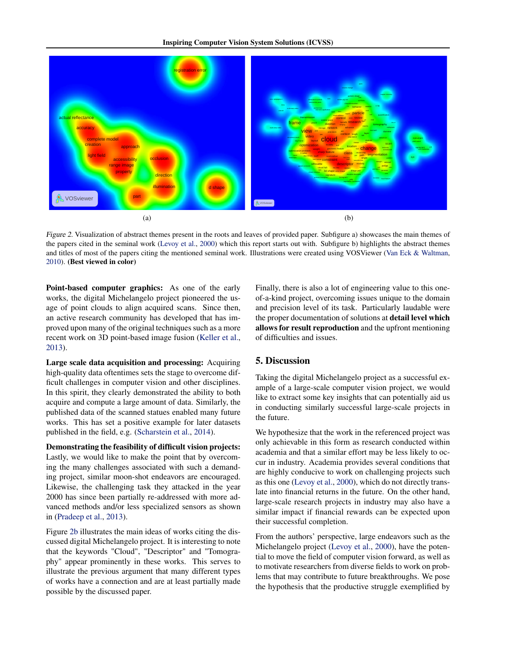<span id="page-2-0"></span>

Figure 2. Visualization of abstract themes present in the roots and leaves of provided paper. Subfigure a) showcases the main themes of the papers cited in the seminal work [\(Levoy et al.,](#page-4-0) [2000\)](#page-4-0) which this report starts out with. Subfigure b) highlights the abstract themes and titles of most of the papers citing the mentioned seminal work. Illustrations were created using VOSViewer [\(Van Eck & Waltman,](#page-4-0) [2010\)](#page-4-0). (Best viewed in color)

Point-based computer graphics: As one of the early works, the digital Michelangelo project pioneered the usage of point clouds to align acquired scans. Since then, an active research community has developed that has improved upon many of the original techniques such as a more recent work on 3D point-based image fusion [\(Keller et al.,](#page-4-0) [2013\)](#page-4-0).

Large scale data acquisition and processing: Acquiring high-quality data oftentimes sets the stage to overcome difficult challenges in computer vision and other disciplines. In this spirit, they clearly demonstrated the ability to both acquire and compute a large amount of data. Similarly, the published data of the scanned statues enabled many future works. This has set a positive example for later datasets published in the field, e.g. [\(Scharstein et al.,](#page-4-0) [2014\)](#page-4-0).

Demonstrating the feasibility of difficult vision projects: Lastly, we would like to make the point that by overcoming the many challenges associated with such a demanding project, similar moon-shot endeavors are encouraged. Likewise, the challenging task they attacked in the year 2000 has since been partially re-addressed with more advanced methods and/or less specialized sensors as shown in [\(Pradeep et al.,](#page-4-0) [2013\)](#page-4-0).

Figure 2b illustrates the main ideas of works citing the discussed digital Michelangelo project. It is interesting to note that the keywords "Cloud", "Descriptor" and "Tomography" appear prominently in these works. This serves to illustrate the previous argument that many different types of works have a connection and are at least partially made possible by the discussed paper.

Finally, there is also a lot of engineering value to this oneof-a-kind project, overcoming issues unique to the domain and precision level of its task. Particularly laudable were the proper documentation of solutions at detail level which allows for result reproduction and the upfront mentioning of difficulties and issues.

## 5. Discussion

Taking the digital Michelangelo project as a successful example of a large-scale computer vision project, we would like to extract some key insights that can potentially aid us in conducting similarly successful large-scale projects in the future.

We hypothesize that the work in the referenced project was only achievable in this form as research conducted within academia and that a similar effort may be less likely to occur in industry. Academia provides several conditions that are highly conducive to work on challenging projects such as this one [\(Levoy et al.,](#page-4-0) [2000\)](#page-4-0), which do not directly translate into financial returns in the future. On the other hand, large-scale research projects in industry may also have a similar impact if financial rewards can be expected upon their successful completion.

From the authors' perspective, large endeavors such as the Michelangelo project [\(Levoy et al.,](#page-4-0) [2000\)](#page-4-0), have the potential to move the field of computer vision forward, as well as to motivate researchers from diverse fields to work on problems that may contribute to future breakthroughs. We pose the hypothesis that the productive struggle exemplified by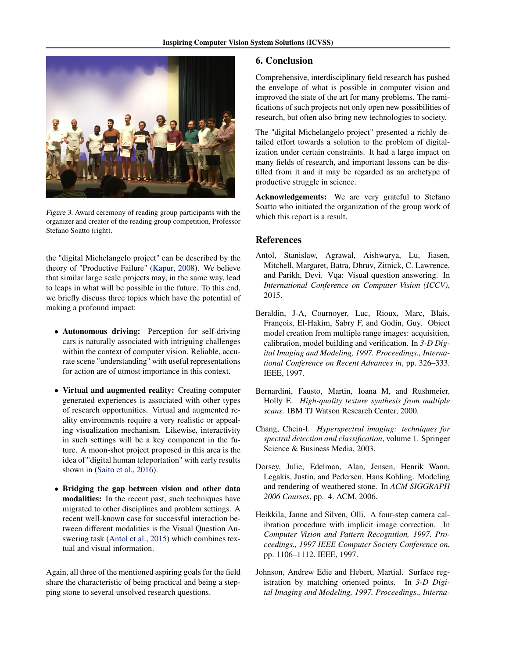<span id="page-3-0"></span>

Figure 3. Award ceremony of reading group participants with the organizer and creator of the reading group competition, Professor Stefano Soatto (right).

the "digital Michelangelo project" can be described by the theory of "Productive Failure" [\(Kapur,](#page-4-0) [2008\)](#page-4-0). We believe that similar large scale projects may, in the same way, lead to leaps in what will be possible in the future. To this end, we briefly discuss three topics which have the potential of making a profound impact:

- Autonomous driving: Perception for self-driving cars is naturally associated with intriguing challenges within the context of computer vision. Reliable, accurate scene "understanding" with useful representations for action are of utmost importance in this context.
- Virtual and augmented reality: Creating computer generated experiences is associated with other types of research opportunities. Virtual and augmented reality environments require a very realistic or appealing visualization mechanism. Likewise, interactivity in such settings will be a key component in the future. A moon-shot project proposed in this area is the idea of "digital human teleportation" with early results shown in [\(Saito et al.,](#page-4-0) [2016\)](#page-4-0).
- Bridging the gap between vision and other data modalities: In the recent past, such techniques have migrated to other disciplines and problem settings. A recent well-known case for successful interaction between different modalities is the Visual Question Answering task (Antol et al., 2015) which combines textual and visual information.

Again, all three of the mentioned aspiring goals for the field share the characteristic of being practical and being a stepping stone to several unsolved research questions.

### 6. Conclusion

Comprehensive, interdisciplinary field research has pushed the envelope of what is possible in computer vision and improved the state of the art for many problems. The ramifications of such projects not only open new possibilities of research, but often also bring new technologies to society.

The "digital Michelangelo project" presented a richly detailed effort towards a solution to the problem of digitalization under certain constraints. It had a large impact on many fields of research, and important lessons can be distilled from it and it may be regarded as an archetype of productive struggle in science.

Acknowledgements: We are very grateful to Stefano Soatto who initiated the organization of the group work of which this report is a result.

### References

- Antol, Stanislaw, Agrawal, Aishwarya, Lu, Jiasen, Mitchell, Margaret, Batra, Dhruv, Zitnick, C. Lawrence, and Parikh, Devi. Vqa: Visual question answering. In *International Conference on Computer Vision (ICCV)*, 2015.
- Beraldin, J-A, Cournoyer, Luc, Rioux, Marc, Blais, François, El-Hakim, Sabry F, and Godin, Guy. Object model creation from multiple range images: acquisition, calibration, model building and verification. In *3-D Digital Imaging and Modeling, 1997. Proceedings., International Conference on Recent Advances in*, pp. 326–333. IEEE, 1997.
- Bernardini, Fausto, Martin, Ioana M, and Rushmeier, Holly E. *High-quality texture synthesis from multiple scans*. IBM TJ Watson Research Center, 2000.
- Chang, Chein-I. *Hyperspectral imaging: techniques for spectral detection and classification*, volume 1. Springer Science & Business Media, 2003.
- Dorsey, Julie, Edelman, Alan, Jensen, Henrik Wann, Legakis, Justin, and Pedersen, Hans Kohling. Modeling and rendering of weathered stone. In *ACM SIGGRAPH 2006 Courses*, pp. 4. ACM, 2006.
- Heikkila, Janne and Silven, Olli. A four-step camera calibration procedure with implicit image correction. In *Computer Vision and Pattern Recognition, 1997. Proceedings., 1997 IEEE Computer Society Conference on*, pp. 1106–1112. IEEE, 1997.
- Johnson, Andrew Edie and Hebert, Martial. Surface registration by matching oriented points. In *3-D Digital Imaging and Modeling, 1997. Proceedings., Interna-*